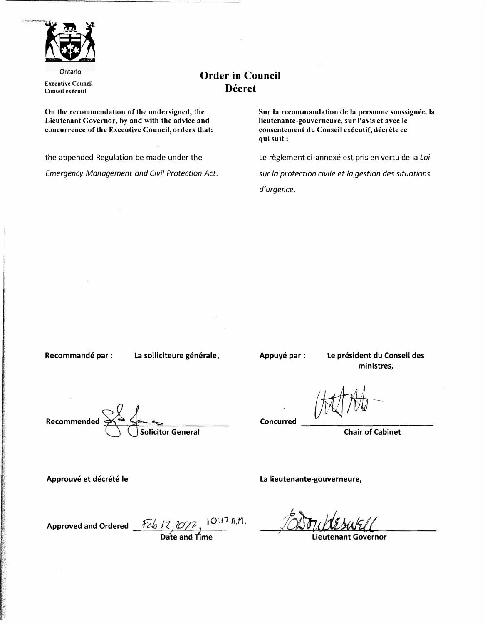

Ontario **Executive Council Conseil executif** 

## **Order in Council Decret**

**On the recommendation of the undersigned, the Lieutenant Governor,** by **and with the advice and concurrence of the Executive Council, orders that:** 

the appended Regulation be made under the *Emergency Management and Civil Protection Act.*  Sur la recommandation de la personne soussignée, la **lieutenante-gouverneure, sur l'avis et avec le consentement du Conseil executif, decrete ce qui suit:** 

Le règlement ci-annexé est pris en vertu de la Loi

*sur la protection civile et la gestion des situations d'urgence.* 

Recommandé par : La solliciteure générale,

**Appuye par: Le president du Conseil des ministres,** 

**Recommended** 

**Solicitor General** 

Concurred **Chair of Chinat** 

**Chair of Cabinet** 

**La lieutenante-gouverneure,** 

Approuvé et décrété le

Approved and Ordered <u>Feb 12, 2022</u>, 10:17 A.M.<br>Date and Time

**Lieutenant Governor**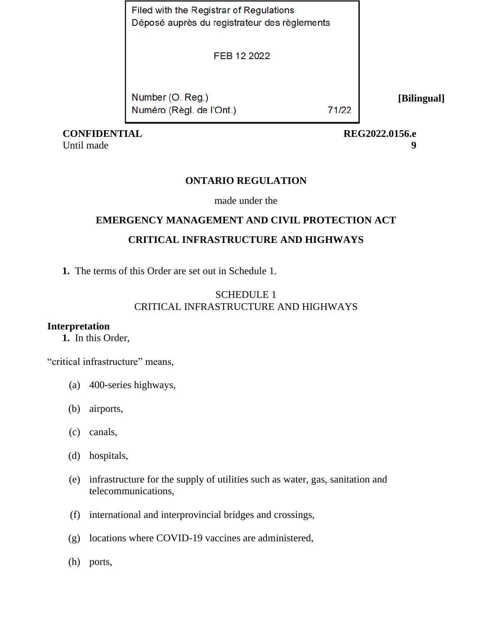Filed with the Registrar of Regulations Déposé auprès du registrateur des règlements

FEB 12 2022

Number (O. Reg.) Numéro (Règl. de l'Ont.)

71/22

**[Bilingual]**

 **CONFIDENTIAL REG2022.0156.e**

Until made **9**

## **ONTARIO REGULATION**

made under the

# **EMERGENCY MANAGEMENT AND CIVIL PROTECTION ACT CRITICAL INFRASTRUCTURE AND HIGHWAYS**

**1.** The terms of this Order are set out in Schedule 1.

## SCHEDULE 1 CRITICAL INFRASTRUCTURE AND HIGHWAYS

## **Interpretation**

**1.** In this Order,

"critical infrastructure" means,

- (a) 400-series highways,
- (b) airports,
- (c) canals,
- (d) hospitals,
- (e) infrastructure for the supply of utilities such as water, gas, sanitation and telecommunications,
- (f) international and interprovincial bridges and crossings,
- (g) locations where COVID-19 vaccines are administered,
- (h) ports,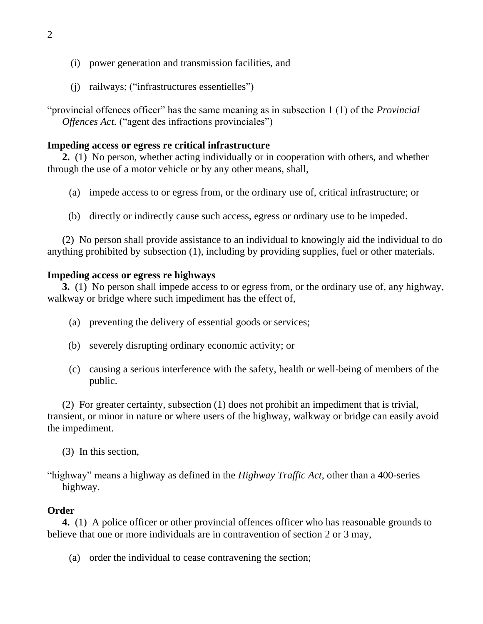- (i) power generation and transmission facilities, and
- (j) railways; ("infrastructures essentielles")

"provincial offences officer" has the same meaning as in subsection 1 (1) of the *Provincial Offences Act.* ("agent des infractions provinciales")

## **Impeding access or egress re critical infrastructure**

**2.** (1) No person, whether acting individually or in cooperation with others, and whether through the use of a motor vehicle or by any other means, shall,

- (a) impede access to or egress from, or the ordinary use of, critical infrastructure; or
- (b) directly or indirectly cause such access, egress or ordinary use to be impeded.

(2) No person shall provide assistance to an individual to knowingly aid the individual to do anything prohibited by subsection (1), including by providing supplies, fuel or other materials.

## **Impeding access or egress re highways**

**3.** (1) No person shall impede access to or egress from, or the ordinary use of, any highway, walkway or bridge where such impediment has the effect of,

- (a) preventing the delivery of essential goods or services;
- (b) severely disrupting ordinary economic activity; or
- (c) causing a serious interference with the safety, health or well-being of members of the public.

(2) For greater certainty, subsection (1) does not prohibit an impediment that is trivial, transient, or minor in nature or where users of the highway, walkway or bridge can easily avoid the impediment.

- (3) In this section,
- "highway" means a highway as defined in the *Highway Traffic Act*, other than a 400-series highway.

## **Order**

**4.** (1) A police officer or other provincial offences officer who has reasonable grounds to believe that one or more individuals are in contravention of section 2 or 3 may,

(a) order the individual to cease contravening the section;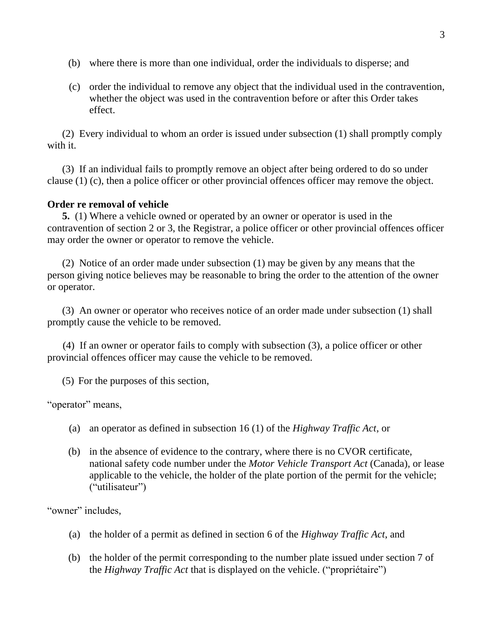- (b) where there is more than one individual, order the individuals to disperse; and
- (c) order the individual to remove any object that the individual used in the contravention, whether the object was used in the contravention before or after this Order takes effect.

(2) Every individual to whom an order is issued under subsection (1) shall promptly comply with it.

(3) If an individual fails to promptly remove an object after being ordered to do so under clause (1) (c), then a police officer or other provincial offences officer may remove the object.

## **Order re removal of vehicle**

**5.** (1) Where a vehicle owned or operated by an owner or operator is used in the contravention of section 2 or 3, the Registrar, a police officer or other provincial offences officer may order the owner or operator to remove the vehicle.

(2) Notice of an order made under subsection (1) may be given by any means that the person giving notice believes may be reasonable to bring the order to the attention of the owner or operator.

(3) An owner or operator who receives notice of an order made under subsection (1) shall promptly cause the vehicle to be removed.

(4) If an owner or operator fails to comply with subsection (3), a police officer or other provincial offences officer may cause the vehicle to be removed.

(5) For the purposes of this section,

"operator" means,

- (a) an operator as defined in subsection 16 (1) of the *Highway Traffic Act*, or
- (b) in the absence of evidence to the contrary, where there is no CVOR certificate, national safety code number under the *Motor Vehicle Transport Act* (Canada), or lease applicable to the vehicle, the holder of the plate portion of the permit for the vehicle; ("utilisateur")

"owner" includes,

- (a) the holder of a permit as defined in section 6 of the *Highway Traffic Act*, and
- (b) the holder of the permit corresponding to the number plate issued under section 7 of the *Highway Traffic Act* that is displayed on the vehicle. ("propriétaire")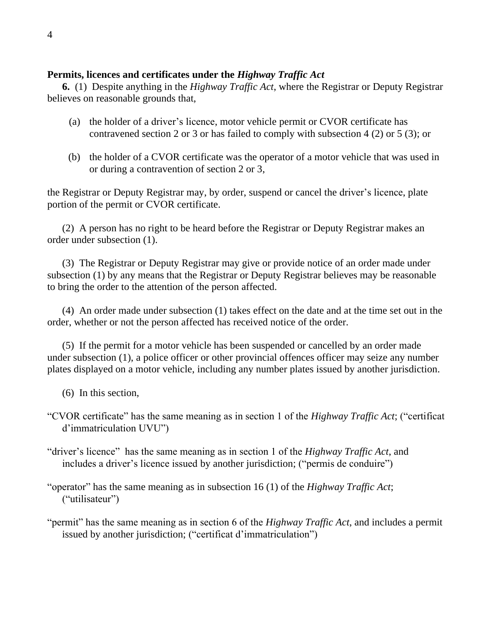## **Permits, licences and certificates under the** *Highway Traffic Act*

**6.** (1) Despite anything in the *Highway Traffic Act*, where the Registrar or Deputy Registrar believes on reasonable grounds that,

- (a) the holder of a driver's licence, motor vehicle permit or CVOR certificate has contravened section 2 or 3 or has failed to comply with subsection 4 (2) or 5 (3); or
- (b) the holder of a CVOR certificate was the operator of a motor vehicle that was used in or during a contravention of section 2 or 3,

the Registrar or Deputy Registrar may, by order, suspend or cancel the driver's licence, plate portion of the permit or CVOR certificate.

(2) A person has no right to be heard before the Registrar or Deputy Registrar makes an order under subsection (1).

(3) The Registrar or Deputy Registrar may give or provide notice of an order made under subsection (1) by any means that the Registrar or Deputy Registrar believes may be reasonable to bring the order to the attention of the person affected.

(4) An order made under subsection (1) takes effect on the date and at the time set out in the order, whether or not the person affected has received notice of the order.

(5) If the permit for a motor vehicle has been suspended or cancelled by an order made under subsection (1), a police officer or other provincial offences officer may seize any number plates displayed on a motor vehicle, including any number plates issued by another jurisdiction.

(6) In this section,

"CVOR certificate" has the same meaning as in section 1 of the *Highway Traffic Act*; ("certificat d'immatriculation UVU")

"driver's licence" has the same meaning as in section 1 of the *Highway Traffic Act*, and includes a driver's licence issued by another jurisdiction; ("permis de conduire")

"operator" has the same meaning as in subsection 16 (1) of the *Highway Traffic Act*; ("utilisateur")

"permit" has the same meaning as in section 6 of the *Highway Traffic Act*, and includes a permit issued by another jurisdiction; ("certificat d'immatriculation")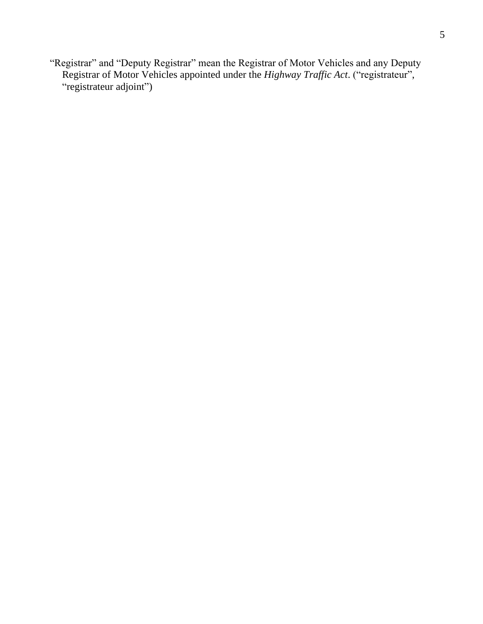"Registrar" and "Deputy Registrar" mean the Registrar of Motor Vehicles and any Deputy Registrar of Motor Vehicles appointed under the *Highway Traffic Act*. ("registrateur", "registrateur adjoint")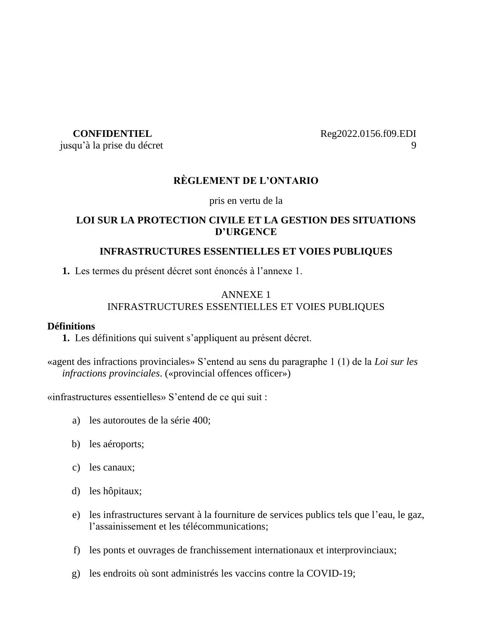jusqu'à la prise du décret 9

**CONFIDENTIEL** Reg2022.0156.f09.EDI

## **RÈGLEMENT DE L'ONTARIO**

pris en vertu de la

## **LOI SUR LA PROTECTION CIVILE ET LA GESTION DES SITUATIONS D'URGENCE**

## **INFRASTRUCTURES ESSENTIELLES ET VOIES PUBLIQUES**

**1.** Les termes du présent décret sont énoncés à l'annexe 1.

## ANNEXE 1 INFRASTRUCTURES ESSENTIELLES ET VOIES PUBLIQUES

## **Définitions**

**1.** Les définitions qui suivent s'appliquent au présent décret.

«agent des infractions provinciales» S'entend au sens du paragraphe 1 (1) de la *Loi sur les infractions provinciales*. («provincial offences officer»)

«infrastructures essentielles» S'entend de ce qui suit :

- a) les autoroutes de la série 400;
- b) les aéroports;
- c) les canaux;
- d) les hôpitaux;
- e) les infrastructures servant à la fourniture de services publics tels que l'eau, le gaz, l'assainissement et les télécommunications;
- f) les ponts et ouvrages de franchissement internationaux et interprovinciaux;
- g) les endroits où sont administrés les vaccins contre la COVID-19;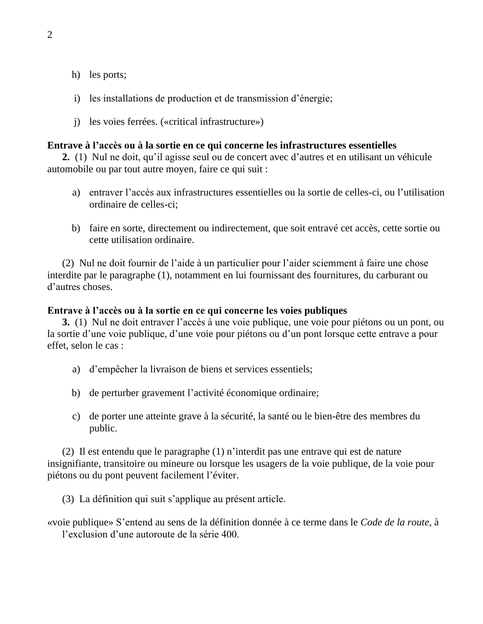- h) les ports;
- i) les installations de production et de transmission d'énergie;
- j) les voies ferrées. («critical infrastructure»)

#### **Entrave à l'accès ou à la sortie en ce qui concerne les infrastructures essentielles**

**2.** (1) Nul ne doit, qu'il agisse seul ou de concert avec d'autres et en utilisant un véhicule automobile ou par tout autre moyen, faire ce qui suit :

- a) entraver l'accès aux infrastructures essentielles ou la sortie de celles-ci, ou l'utilisation ordinaire de celles-ci;
- b) faire en sorte, directement ou indirectement, que soit entravé cet accès, cette sortie ou cette utilisation ordinaire.

(2) Nul ne doit fournir de l'aide à un particulier pour l'aider sciemment à faire une chose interdite par le paragraphe (1), notamment en lui fournissant des fournitures, du carburant ou d'autres choses.

#### **Entrave à l'accès ou à la sortie en ce qui concerne les voies publiques**

**3.** (1) Nul ne doit entraver l'accès à une voie publique, une voie pour piétons ou un pont, ou la sortie d'une voie publique, d'une voie pour piétons ou d'un pont lorsque cette entrave a pour effet, selon le cas :

- a) d'empêcher la livraison de biens et services essentiels;
- b) de perturber gravement l'activité économique ordinaire;
- c) de porter une atteinte grave à la sécurité, la santé ou le bien-être des membres du public.

(2) Il est entendu que le paragraphe (1) n'interdit pas une entrave qui est de nature insignifiante, transitoire ou mineure ou lorsque les usagers de la voie publique, de la voie pour piétons ou du pont peuvent facilement l'éviter.

(3) La définition qui suit s'applique au présent article.

«voie publique» S'entend au sens de la définition donnée à ce terme dans le *Code de la route*, à l'exclusion d'une autoroute de la série 400.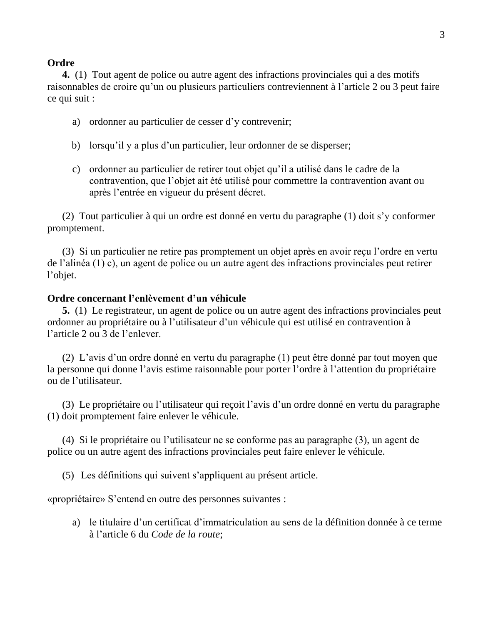#### 3

#### **Ordre**

**4.** (1) Tout agent de police ou autre agent des infractions provinciales qui a des motifs raisonnables de croire qu'un ou plusieurs particuliers contreviennent à l'article 2 ou 3 peut faire ce qui suit :

- a) ordonner au particulier de cesser d'y contrevenir;
- b) lorsqu'il y a plus d'un particulier, leur ordonner de se disperser;
- c) ordonner au particulier de retirer tout objet qu'il a utilisé dans le cadre de la contravention, que l'objet ait été utilisé pour commettre la contravention avant ou après l'entrée en vigueur du présent décret.

(2) Tout particulier à qui un ordre est donné en vertu du paragraphe (1) doit s'y conformer promptement.

(3) Si un particulier ne retire pas promptement un objet après en avoir reçu l'ordre en vertu de l'alinéa (1) c), un agent de police ou un autre agent des infractions provinciales peut retirer l'objet.

#### **Ordre concernant l'enlèvement d'un véhicule**

**5.** (1) Le registrateur, un agent de police ou un autre agent des infractions provinciales peut ordonner au propriétaire ou à l'utilisateur d'un véhicule qui est utilisé en contravention à l'article 2 ou 3 de l'enlever.

(2) L'avis d'un ordre donné en vertu du paragraphe (1) peut être donné par tout moyen que la personne qui donne l'avis estime raisonnable pour porter l'ordre à l'attention du propriétaire ou de l'utilisateur.

(3) Le propriétaire ou l'utilisateur qui reçoit l'avis d'un ordre donné en vertu du paragraphe (1) doit promptement faire enlever le véhicule.

(4) Si le propriétaire ou l'utilisateur ne se conforme pas au paragraphe (3), un agent de police ou un autre agent des infractions provinciales peut faire enlever le véhicule.

(5) Les définitions qui suivent s'appliquent au présent article.

«propriétaire» S'entend en outre des personnes suivantes :

a) le titulaire d'un certificat d'immatriculation au sens de la définition donnée à ce terme à l'article 6 du *Code de la route*;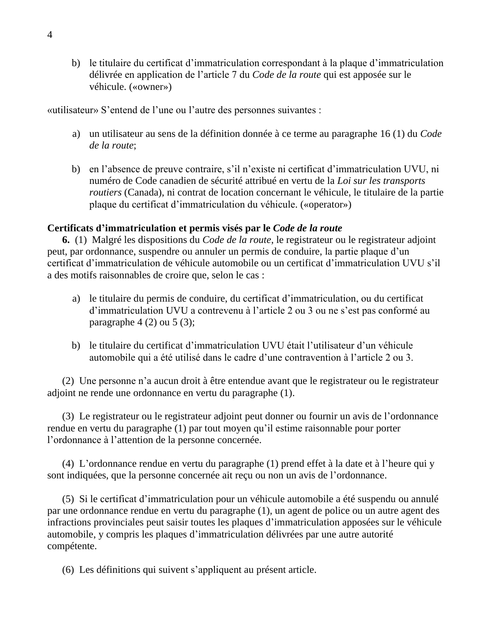b) le titulaire du certificat d'immatriculation correspondant à la plaque d'immatriculation délivrée en application de l'article 7 du *Code de la route* qui est apposée sur le véhicule. («owner»)

«utilisateur» S'entend de l'une ou l'autre des personnes suivantes :

- a) un utilisateur au sens de la définition donnée à ce terme au paragraphe 16 (1) du *Code de la route*;
- b) en l'absence de preuve contraire, s'il n'existe ni certificat d'immatriculation UVU, ni numéro de Code canadien de sécurité attribué en vertu de la *Loi sur les transports routiers* (Canada), ni contrat de location concernant le véhicule, le titulaire de la partie plaque du certificat d'immatriculation du véhicule. («operator»)

## **Certificats d'immatriculation et permis visés par le** *Code de la route*

**6.** (1) Malgré les dispositions du *Code de la route*, le registrateur ou le registrateur adjoint peut, par ordonnance, suspendre ou annuler un permis de conduire, la partie plaque d'un certificat d'immatriculation de véhicule automobile ou un certificat d'immatriculation UVU s'il a des motifs raisonnables de croire que, selon le cas :

- a) le titulaire du permis de conduire, du certificat d'immatriculation, ou du certificat d'immatriculation UVU a contrevenu à l'article 2 ou 3 ou ne s'est pas conformé au paragraphe  $4(2)$  ou  $5(3)$ ;
- b) le titulaire du certificat d'immatriculation UVU était l'utilisateur d'un véhicule automobile qui a été utilisé dans le cadre d'une contravention à l'article 2 ou 3.

(2) Une personne n'a aucun droit à être entendue avant que le registrateur ou le registrateur adjoint ne rende une ordonnance en vertu du paragraphe (1).

(3) Le registrateur ou le registrateur adjoint peut donner ou fournir un avis de l'ordonnance rendue en vertu du paragraphe (1) par tout moyen qu'il estime raisonnable pour porter l'ordonnance à l'attention de la personne concernée.

(4) L'ordonnance rendue en vertu du paragraphe (1) prend effet à la date et à l'heure qui y sont indiquées, que la personne concernée ait reçu ou non un avis de l'ordonnance.

(5) Si le certificat d'immatriculation pour un véhicule automobile a été suspendu ou annulé par une ordonnance rendue en vertu du paragraphe (1), un agent de police ou un autre agent des infractions provinciales peut saisir toutes les plaques d'immatriculation apposées sur le véhicule automobile, y compris les plaques d'immatriculation délivrées par une autre autorité compétente.

(6) Les définitions qui suivent s'appliquent au présent article.